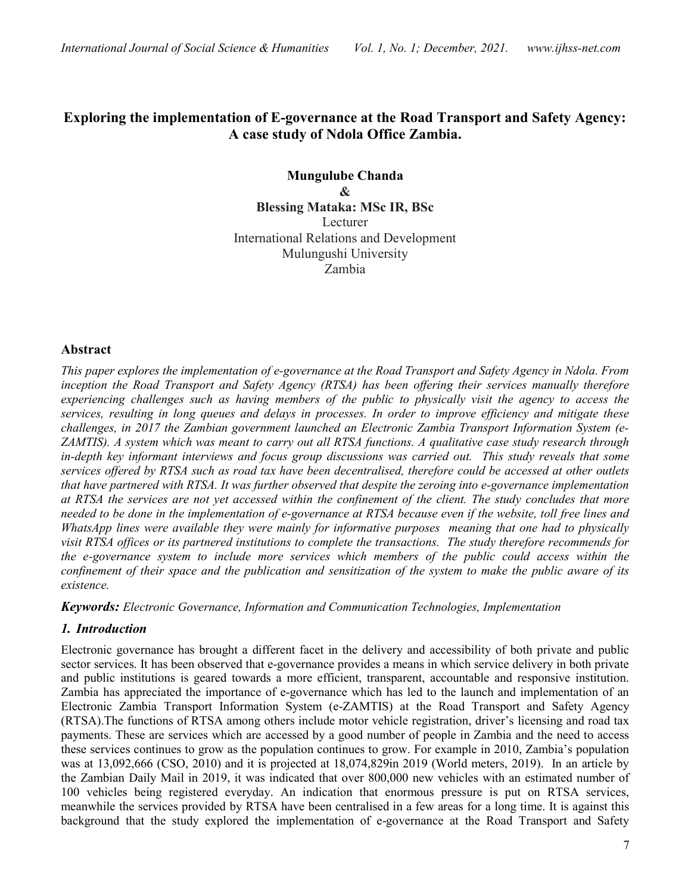# Exploring the implementation of E-governance at the Road Transport and Safety Agency: A case study of Ndola Office Zambia.

Mungulube Chanda & Blessing Mataka: MSc IR, BSc Lecturer International Relations and Development Mulungushi University Zambia

### Abstract

This paper explores the implementation of e-governance at the Road Transport and Safety Agency in Ndola. From inception the Road Transport and Safety Agency (RTSA) has been offering their services manually therefore experiencing challenges such as having members of the public to physically visit the agency to access the services, resulting in long queues and delays in processes. In order to improve efficiency and mitigate these challenges, in 2017 the Zambian government launched an Electronic Zambia Transport Information System (e-ZAMTIS). A system which was meant to carry out all RTSA functions. A qualitative case study research through in-depth key informant interviews and focus group discussions was carried out. This study reveals that some services offered by RTSA such as road tax have been decentralised, therefore could be accessed at other outlets that have partnered with RTSA. It was further observed that despite the zeroing into e-governance implementation at RTSA the services are not yet accessed within the confinement of the client. The study concludes that more needed to be done in the implementation of e-governance at RTSA because even if the website, toll free lines and WhatsApp lines were available they were mainly for informative purposes meaning that one had to physically visit RTSA offices or its partnered institutions to complete the transactions. The study therefore recommends for the e-governance system to include more services which members of the public could access within the confinement of their space and the publication and sensitization of the system to make the public aware of its existence.

Keywords: Electronic Governance, Information and Communication Technologies, Implementation

# 1. Introduction

Electronic governance has brought a different facet in the delivery and accessibility of both private and public sector services. It has been observed that e-governance provides a means in which service delivery in both private and public institutions is geared towards a more efficient, transparent, accountable and responsive institution. Zambia has appreciated the importance of e-governance which has led to the launch and implementation of an Electronic Zambia Transport Information System (e-ZAMTIS) at the Road Transport and Safety Agency (RTSA).The functions of RTSA among others include motor vehicle registration, driver's licensing and road tax payments. These are services which are accessed by a good number of people in Zambia and the need to access these services continues to grow as the population continues to grow. For example in 2010, Zambia's population was at 13,092,666 (CSO, 2010) and it is projected at 18,074,829in 2019 (World meters, 2019). In an article by the Zambian Daily Mail in 2019, it was indicated that over 800,000 new vehicles with an estimated number of 100 vehicles being registered everyday. An indication that enormous pressure is put on RTSA services, meanwhile the services provided by RTSA have been centralised in a few areas for a long time. It is against this background that the study explored the implementation of e-governance at the Road Transport and Safety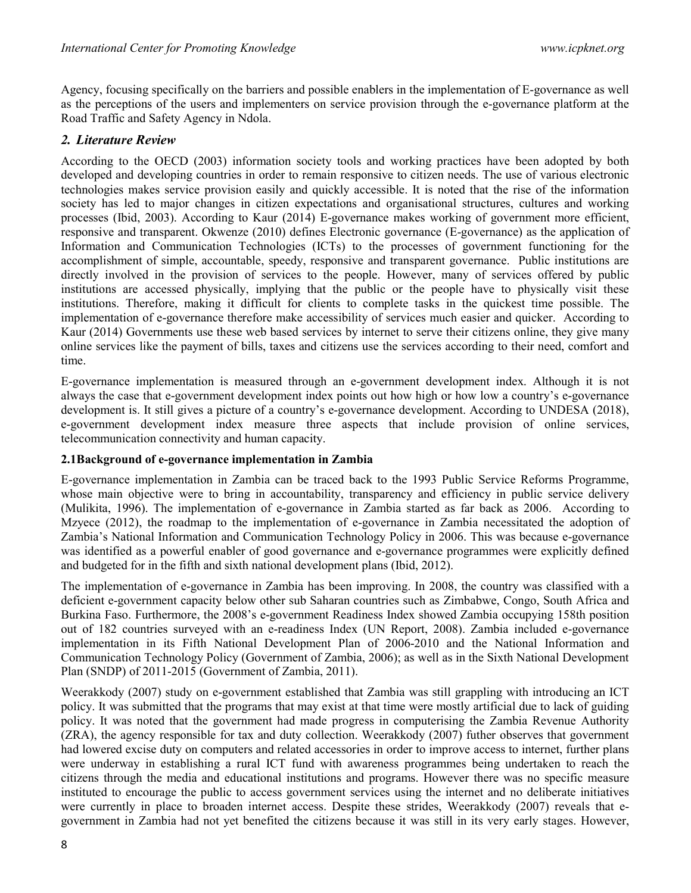Agency, focusing specifically on the barriers and possible enablers in the implementation of E-governance as well as the perceptions of the users and implementers on service provision through the e-governance platform at the Road Traffic and Safety Agency in Ndola.

## 2. Literature Review

According to the OECD (2003) information society tools and working practices have been adopted by both developed and developing countries in order to remain responsive to citizen needs. The use of various electronic technologies makes service provision easily and quickly accessible. It is noted that the rise of the information society has led to major changes in citizen expectations and organisational structures, cultures and working processes (Ibid, 2003). According to Kaur (2014) E-governance makes working of government more efficient, responsive and transparent. Okwenze (2010) defines Electronic governance (E-governance) as the application of Information and Communication Technologies (ICTs) to the processes of government functioning for the accomplishment of simple, accountable, speedy, responsive and transparent governance. Public institutions are directly involved in the provision of services to the people. However, many of services offered by public institutions are accessed physically, implying that the public or the people have to physically visit these institutions. Therefore, making it difficult for clients to complete tasks in the quickest time possible. The implementation of e-governance therefore make accessibility of services much easier and quicker. According to Kaur (2014) Governments use these web based services by internet to serve their citizens online, they give many online services like the payment of bills, taxes and citizens use the services according to their need, comfort and time.

E-governance implementation is measured through an e-government development index. Although it is not always the case that e-government development index points out how high or how low a country's e-governance development is. It still gives a picture of a country's e-governance development. According to UNDESA (2018), e-government development index measure three aspects that include provision of online services, telecommunication connectivity and human capacity.

### 2.1Background of e-governance implementation in Zambia

E-governance implementation in Zambia can be traced back to the 1993 Public Service Reforms Programme, whose main objective were to bring in accountability, transparency and efficiency in public service delivery (Mulikita, 1996). The implementation of e-governance in Zambia started as far back as 2006. According to Mzyece (2012), the roadmap to the implementation of e-governance in Zambia necessitated the adoption of Zambia's National Information and Communication Technology Policy in 2006. This was because e-governance was identified as a powerful enabler of good governance and e-governance programmes were explicitly defined and budgeted for in the fifth and sixth national development plans (Ibid, 2012).

The implementation of e-governance in Zambia has been improving. In 2008, the country was classified with a deficient e-government capacity below other sub Saharan countries such as Zimbabwe, Congo, South Africa and Burkina Faso. Furthermore, the 2008's e-government Readiness Index showed Zambia occupying 158th position out of 182 countries surveyed with an e-readiness Index (UN Report, 2008). Zambia included e-governance implementation in its Fifth National Development Plan of 2006-2010 and the National Information and Communication Technology Policy (Government of Zambia, 2006); as well as in the Sixth National Development Plan (SNDP) of 2011-2015 (Government of Zambia, 2011).

Weerakkody (2007) study on e-government established that Zambia was still grappling with introducing an ICT policy. It was submitted that the programs that may exist at that time were mostly artificial due to lack of guiding policy. It was noted that the government had made progress in computerising the Zambia Revenue Authority (ZRA), the agency responsible for tax and duty collection. Weerakkody (2007) futher observes that government had lowered excise duty on computers and related accessories in order to improve access to internet, further plans were underway in establishing a rural ICT fund with awareness programmes being undertaken to reach the citizens through the media and educational institutions and programs. However there was no specific measure instituted to encourage the public to access government services using the internet and no deliberate initiatives were currently in place to broaden internet access. Despite these strides, Weerakkody (2007) reveals that egovernment in Zambia had not yet benefited the citizens because it was still in its very early stages. However,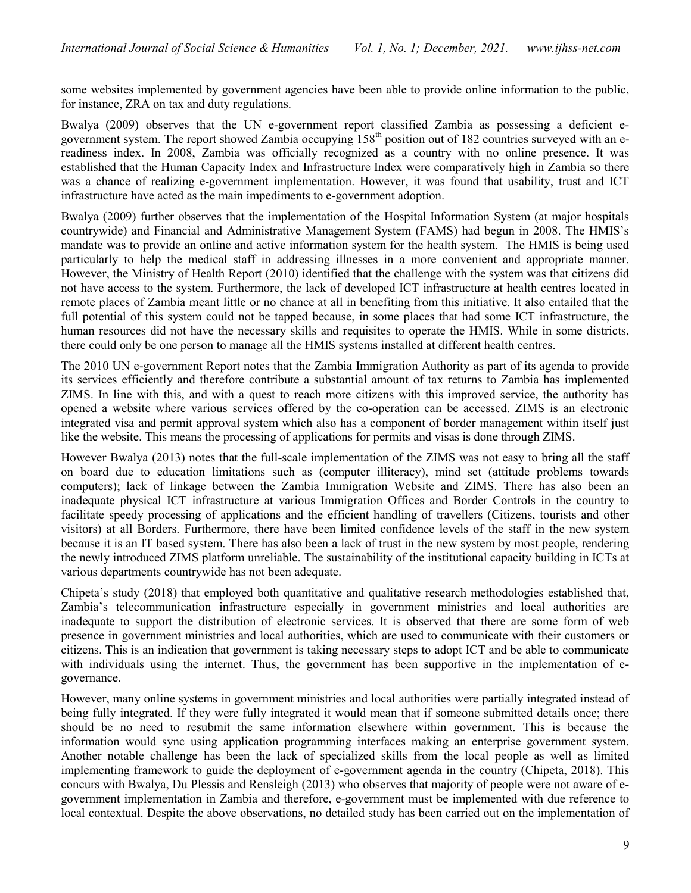some websites implemented by government agencies have been able to provide online information to the public, for instance, ZRA on tax and duty regulations.

Bwalya (2009) observes that the UN e-government report classified Zambia as possessing a deficient egovernment system. The report showed Zambia occupying 158<sup>th</sup> position out of 182 countries surveyed with an ereadiness index. In 2008, Zambia was officially recognized as a country with no online presence. It was established that the Human Capacity Index and Infrastructure Index were comparatively high in Zambia so there was a chance of realizing e-government implementation. However, it was found that usability, trust and ICT infrastructure have acted as the main impediments to e-government adoption.

Bwalya (2009) further observes that the implementation of the Hospital Information System (at major hospitals countrywide) and Financial and Administrative Management System (FAMS) had begun in 2008. The HMIS's mandate was to provide an online and active information system for the health system. The HMIS is being used particularly to help the medical staff in addressing illnesses in a more convenient and appropriate manner. However, the Ministry of Health Report (2010) identified that the challenge with the system was that citizens did not have access to the system. Furthermore, the lack of developed ICT infrastructure at health centres located in remote places of Zambia meant little or no chance at all in benefiting from this initiative. It also entailed that the full potential of this system could not be tapped because, in some places that had some ICT infrastructure, the human resources did not have the necessary skills and requisites to operate the HMIS. While in some districts, there could only be one person to manage all the HMIS systems installed at different health centres.

The 2010 UN e-government Report notes that the Zambia Immigration Authority as part of its agenda to provide its services efficiently and therefore contribute a substantial amount of tax returns to Zambia has implemented ZIMS. In line with this, and with a quest to reach more citizens with this improved service, the authority has opened a website where various services offered by the co-operation can be accessed. ZIMS is an electronic integrated visa and permit approval system which also has a component of border management within itself just like the website. This means the processing of applications for permits and visas is done through ZIMS.

However Bwalya (2013) notes that the full-scale implementation of the ZIMS was not easy to bring all the staff on board due to education limitations such as (computer illiteracy), mind set (attitude problems towards computers); lack of linkage between the Zambia Immigration Website and ZIMS. There has also been an inadequate physical ICT infrastructure at various Immigration Offices and Border Controls in the country to facilitate speedy processing of applications and the efficient handling of travellers (Citizens, tourists and other visitors) at all Borders. Furthermore, there have been limited confidence levels of the staff in the new system because it is an IT based system. There has also been a lack of trust in the new system by most people, rendering the newly introduced ZIMS platform unreliable. The sustainability of the institutional capacity building in ICTs at various departments countrywide has not been adequate.

Chipeta's study (2018) that employed both quantitative and qualitative research methodologies established that, Zambia's telecommunication infrastructure especially in government ministries and local authorities are inadequate to support the distribution of electronic services. It is observed that there are some form of web presence in government ministries and local authorities, which are used to communicate with their customers or citizens. This is an indication that government is taking necessary steps to adopt ICT and be able to communicate with individuals using the internet. Thus, the government has been supportive in the implementation of egovernance.

However, many online systems in government ministries and local authorities were partially integrated instead of being fully integrated. If they were fully integrated it would mean that if someone submitted details once; there should be no need to resubmit the same information elsewhere within government. This is because the information would sync using application programming interfaces making an enterprise government system. Another notable challenge has been the lack of specialized skills from the local people as well as limited implementing framework to guide the deployment of e-government agenda in the country (Chipeta, 2018). This concurs with Bwalya, Du Plessis and Rensleigh (2013) who observes that majority of people were not aware of egovernment implementation in Zambia and therefore, e-government must be implemented with due reference to local contextual. Despite the above observations, no detailed study has been carried out on the implementation of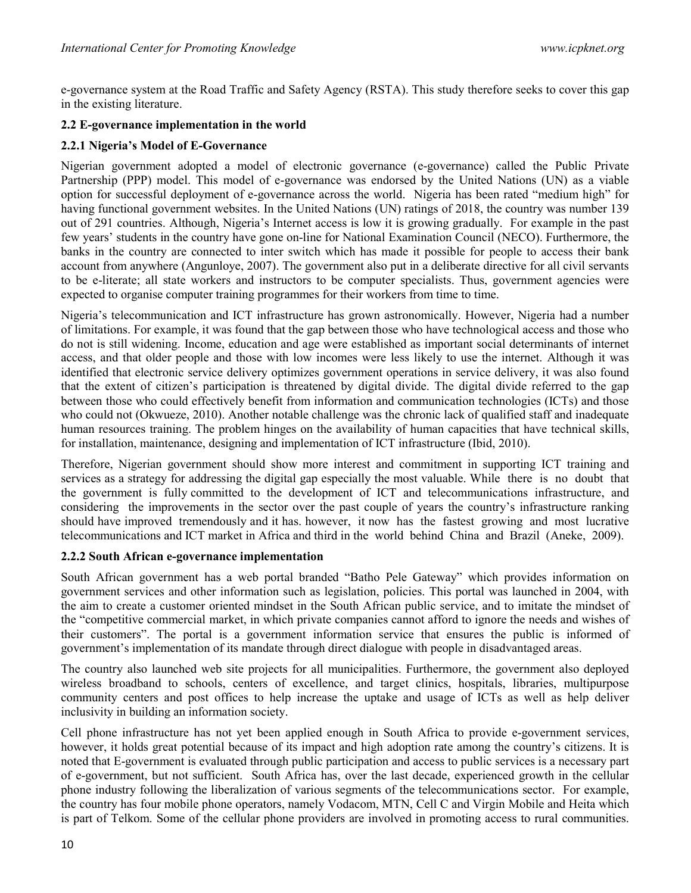e-governance system at the Road Traffic and Safety Agency (RSTA). This study therefore seeks to cover this gap in the existing literature.

# 2.2 E-governance implementation in the world

## 2.2.1 Nigeria's Model of E-Governance

Nigerian government adopted a model of electronic governance (e-governance) called the Public Private Partnership (PPP) model. This model of e-governance was endorsed by the United Nations (UN) as a viable option for successful deployment of e-governance across the world. Nigeria has been rated "medium high" for having functional government websites. In the United Nations (UN) ratings of 2018, the country was number 139 out of 291 countries. Although, Nigeria's Internet access is low it is growing gradually. For example in the past few years' students in the country have gone on-line for National Examination Council (NECO). Furthermore, the banks in the country are connected to inter switch which has made it possible for people to access their bank account from anywhere (Angunloye, 2007). The government also put in a deliberate directive for all civil servants to be e-literate; all state workers and instructors to be computer specialists. Thus, government agencies were expected to organise computer training programmes for their workers from time to time.

Nigeria's telecommunication and ICT infrastructure has grown astronomically. However, Nigeria had a number of limitations. For example, it was found that the gap between those who have technological access and those who do not is still widening. Income, education and age were established as important social determinants of internet access, and that older people and those with low incomes were less likely to use the internet. Although it was identified that electronic service delivery optimizes government operations in service delivery, it was also found that the extent of citizen's participation is threatened by digital divide. The digital divide referred to the gap between those who could effectively benefit from information and communication technologies (ICTs) and those who could not (Okwueze, 2010). Another notable challenge was the chronic lack of qualified staff and inadequate human resources training. The problem hinges on the availability of human capacities that have technical skills, for installation, maintenance, designing and implementation of ICT infrastructure (Ibid, 2010).

Therefore, Nigerian government should show more interest and commitment in supporting ICT training and services as a strategy for addressing the digital gap especially the most valuable. While there is no doubt that the government is fully committed to the development of ICT and telecommunications infrastructure, and considering the improvements in the sector over the past couple of years the country's infrastructure ranking should have improved tremendously and it has. however, it now has the fastest growing and most lucrative telecommunications and ICT market in Africa and third in the world behind China and Brazil (Aneke, 2009).

### 2.2.2 South African e-governance implementation

South African government has a web portal branded "Batho Pele Gateway" which provides information on government services and other information such as legislation, policies. This portal was launched in 2004, with the aim to create a customer oriented mindset in the South African public service, and to imitate the mindset of the "competitive commercial market, in which private companies cannot afford to ignore the needs and wishes of their customers". The portal is a government information service that ensures the public is informed of government's implementation of its mandate through direct dialogue with people in disadvantaged areas.

The country also launched web site projects for all municipalities. Furthermore, the government also deployed wireless broadband to schools, centers of excellence, and target clinics, hospitals, libraries, multipurpose community centers and post offices to help increase the uptake and usage of ICTs as well as help deliver inclusivity in building an information society.

Cell phone infrastructure has not yet been applied enough in South Africa to provide e-government services, however, it holds great potential because of its impact and high adoption rate among the country's citizens. It is noted that E-government is evaluated through public participation and access to public services is a necessary part of e-government, but not sufficient. South Africa has, over the last decade, experienced growth in the cellular phone industry following the liberalization of various segments of the telecommunications sector. For example, the country has four mobile phone operators, namely Vodacom, MTN, Cell C and Virgin Mobile and Heita which is part of Telkom. Some of the cellular phone providers are involved in promoting access to rural communities.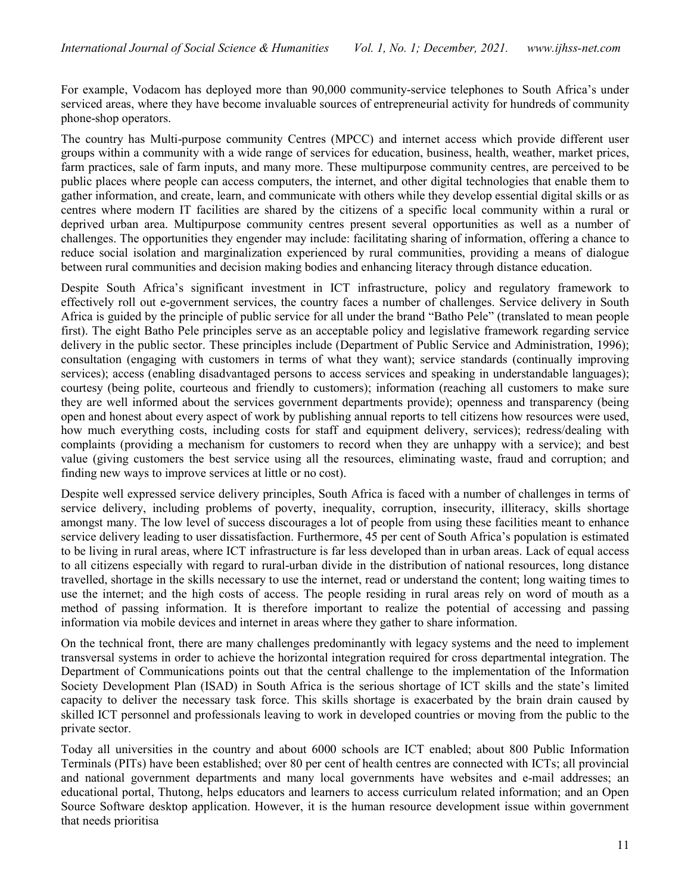For example, Vodacom has deployed more than 90,000 community-service telephones to South Africa's under serviced areas, where they have become invaluable sources of entrepreneurial activity for hundreds of community phone-shop operators.

The country has Multi-purpose community Centres (MPCC) and internet access which provide different user groups within a community with a wide range of services for education, business, health, weather, market prices, farm practices, sale of farm inputs, and many more. These multipurpose community centres, are perceived to be public places where people can access computers, the internet, and other digital technologies that enable them to gather information, and create, learn, and communicate with others while they develop essential digital skills or as centres where modern IT facilities are shared by the citizens of a specific local community within a rural or deprived urban area. Multipurpose community centres present several opportunities as well as a number of challenges. The opportunities they engender may include: facilitating sharing of information, offering a chance to reduce social isolation and marginalization experienced by rural communities, providing a means of dialogue between rural communities and decision making bodies and enhancing literacy through distance education.

Despite South Africa's significant investment in ICT infrastructure, policy and regulatory framework to effectively roll out e-government services, the country faces a number of challenges. Service delivery in South Africa is guided by the principle of public service for all under the brand "Batho Pele" (translated to mean people first). The eight Batho Pele principles serve as an acceptable policy and legislative framework regarding service delivery in the public sector. These principles include (Department of Public Service and Administration, 1996); consultation (engaging with customers in terms of what they want); service standards (continually improving services); access (enabling disadvantaged persons to access services and speaking in understandable languages); courtesy (being polite, courteous and friendly to customers); information (reaching all customers to make sure they are well informed about the services government departments provide); openness and transparency (being open and honest about every aspect of work by publishing annual reports to tell citizens how resources were used, how much everything costs, including costs for staff and equipment delivery, services); redress/dealing with complaints (providing a mechanism for customers to record when they are unhappy with a service); and best value (giving customers the best service using all the resources, eliminating waste, fraud and corruption; and finding new ways to improve services at little or no cost).

Despite well expressed service delivery principles, South Africa is faced with a number of challenges in terms of service delivery, including problems of poverty, inequality, corruption, insecurity, illiteracy, skills shortage amongst many. The low level of success discourages a lot of people from using these facilities meant to enhance service delivery leading to user dissatisfaction. Furthermore, 45 per cent of South Africa's population is estimated to be living in rural areas, where ICT infrastructure is far less developed than in urban areas. Lack of equal access to all citizens especially with regard to rural-urban divide in the distribution of national resources, long distance travelled, shortage in the skills necessary to use the internet, read or understand the content; long waiting times to use the internet; and the high costs of access. The people residing in rural areas rely on word of mouth as a method of passing information. It is therefore important to realize the potential of accessing and passing information via mobile devices and internet in areas where they gather to share information.

On the technical front, there are many challenges predominantly with legacy systems and the need to implement transversal systems in order to achieve the horizontal integration required for cross departmental integration. The Department of Communications points out that the central challenge to the implementation of the Information Society Development Plan (ISAD) in South Africa is the serious shortage of ICT skills and the state's limited capacity to deliver the necessary task force. This skills shortage is exacerbated by the brain drain caused by skilled ICT personnel and professionals leaving to work in developed countries or moving from the public to the private sector.

Today all universities in the country and about 6000 schools are ICT enabled; about 800 Public Information Terminals (PITs) have been established; over 80 per cent of health centres are connected with ICTs; all provincial and national government departments and many local governments have websites and e-mail addresses; an educational portal, Thutong, helps educators and learners to access curriculum related information; and an Open Source Software desktop application. However, it is the human resource development issue within government that needs prioritisa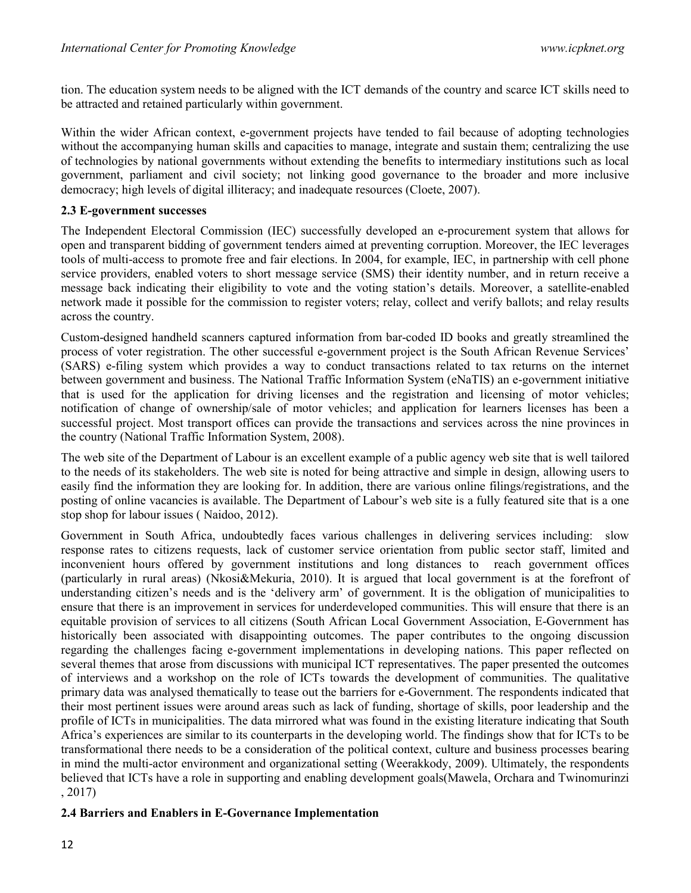tion. The education system needs to be aligned with the ICT demands of the country and scarce ICT skills need to be attracted and retained particularly within government.

Within the wider African context, e-government projects have tended to fail because of adopting technologies without the accompanying human skills and capacities to manage, integrate and sustain them; centralizing the use of technologies by national governments without extending the benefits to intermediary institutions such as local government, parliament and civil society; not linking good governance to the broader and more inclusive democracy; high levels of digital illiteracy; and inadequate resources (Cloete, 2007).

### 2.3 E-government successes

The Independent Electoral Commission (IEC) successfully developed an e-procurement system that allows for open and transparent bidding of government tenders aimed at preventing corruption. Moreover, the IEC leverages tools of multi-access to promote free and fair elections. In 2004, for example, IEC, in partnership with cell phone service providers, enabled voters to short message service (SMS) their identity number, and in return receive a message back indicating their eligibility to vote and the voting station's details. Moreover, a satellite-enabled network made it possible for the commission to register voters; relay, collect and verify ballots; and relay results across the country.

Custom-designed handheld scanners captured information from bar-coded ID books and greatly streamlined the process of voter registration. The other successful e-government project is the South African Revenue Services' (SARS) e-filing system which provides a way to conduct transactions related to tax returns on the internet between government and business. The National Traffic Information System (eNaTIS) an e-government initiative that is used for the application for driving licenses and the registration and licensing of motor vehicles; notification of change of ownership/sale of motor vehicles; and application for learners licenses has been a successful project. Most transport offices can provide the transactions and services across the nine provinces in the country (National Traffic Information System, 2008).

The web site of the Department of Labour is an excellent example of a public agency web site that is well tailored to the needs of its stakeholders. The web site is noted for being attractive and simple in design, allowing users to easily find the information they are looking for. In addition, there are various online filings/registrations, and the posting of online vacancies is available. The Department of Labour's web site is a fully featured site that is a one stop shop for labour issues ( Naidoo, 2012).

Government in South Africa, undoubtedly faces various challenges in delivering services including: slow response rates to citizens requests, lack of customer service orientation from public sector staff, limited and inconvenient hours offered by government institutions and long distances to reach government offices (particularly in rural areas) (Nkosi&Mekuria, 2010). It is argued that local government is at the forefront of understanding citizen's needs and is the 'delivery arm' of government. It is the obligation of municipalities to ensure that there is an improvement in services for underdeveloped communities. This will ensure that there is an equitable provision of services to all citizens (South African Local Government Association, E-Government has historically been associated with disappointing outcomes. The paper contributes to the ongoing discussion regarding the challenges facing e-government implementations in developing nations. This paper reflected on several themes that arose from discussions with municipal ICT representatives. The paper presented the outcomes of interviews and a workshop on the role of ICTs towards the development of communities. The qualitative primary data was analysed thematically to tease out the barriers for e-Government. The respondents indicated that their most pertinent issues were around areas such as lack of funding, shortage of skills, poor leadership and the profile of ICTs in municipalities. The data mirrored what was found in the existing literature indicating that South Africa's experiences are similar to its counterparts in the developing world. The findings show that for ICTs to be transformational there needs to be a consideration of the political context, culture and business processes bearing in mind the multi-actor environment and organizational setting (Weerakkody, 2009). Ultimately, the respondents believed that ICTs have a role in supporting and enabling development goals(Mawela, Orchara and Twinomurinzi , 2017)

# 2.4 Barriers and Enablers in E-Governance Implementation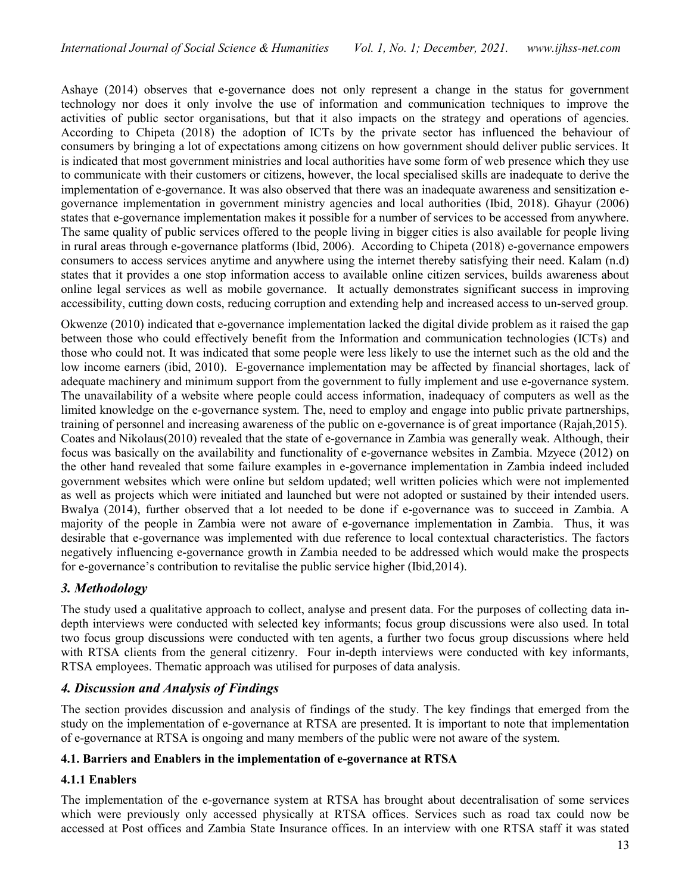Ashaye (2014) observes that e-governance does not only represent a change in the status for government technology nor does it only involve the use of information and communication techniques to improve the activities of public sector organisations, but that it also impacts on the strategy and operations of agencies. According to Chipeta (2018) the adoption of ICTs by the private sector has influenced the behaviour of consumers by bringing a lot of expectations among citizens on how government should deliver public services. It is indicated that most government ministries and local authorities have some form of web presence which they use to communicate with their customers or citizens, however, the local specialised skills are inadequate to derive the implementation of e-governance. It was also observed that there was an inadequate awareness and sensitization egovernance implementation in government ministry agencies and local authorities (Ibid, 2018). Ghayur (2006) states that e-governance implementation makes it possible for a number of services to be accessed from anywhere. The same quality of public services offered to the people living in bigger cities is also available for people living in rural areas through e-governance platforms (Ibid, 2006). According to Chipeta (2018) e-governance empowers consumers to access services anytime and anywhere using the internet thereby satisfying their need. Kalam (n.d) states that it provides a one stop information access to available online citizen services, builds awareness about online legal services as well as mobile governance. It actually demonstrates significant success in improving accessibility, cutting down costs, reducing corruption and extending help and increased access to un-served group.

Okwenze (2010) indicated that e-governance implementation lacked the digital divide problem as it raised the gap between those who could effectively benefit from the Information and communication technologies (ICTs) and those who could not. It was indicated that some people were less likely to use the internet such as the old and the low income earners (ibid, 2010). E-governance implementation may be affected by financial shortages, lack of adequate machinery and minimum support from the government to fully implement and use e-governance system. The unavailability of a website where people could access information, inadequacy of computers as well as the limited knowledge on the e-governance system. The, need to employ and engage into public private partnerships, training of personnel and increasing awareness of the public on e-governance is of great importance (Rajah,2015). Coates and Nikolaus(2010) revealed that the state of e-governance in Zambia was generally weak. Although, their focus was basically on the availability and functionality of e-governance websites in Zambia. Mzyece (2012) on the other hand revealed that some failure examples in e-governance implementation in Zambia indeed included government websites which were online but seldom updated; well written policies which were not implemented as well as projects which were initiated and launched but were not adopted or sustained by their intended users. Bwalya (2014), further observed that a lot needed to be done if e-governance was to succeed in Zambia. A majority of the people in Zambia were not aware of e-governance implementation in Zambia. Thus, it was desirable that e-governance was implemented with due reference to local contextual characteristics. The factors negatively influencing e-governance growth in Zambia needed to be addressed which would make the prospects for e-governance's contribution to revitalise the public service higher (Ibid,2014).

# 3. Methodology

The study used a qualitative approach to collect, analyse and present data. For the purposes of collecting data indepth interviews were conducted with selected key informants; focus group discussions were also used. In total two focus group discussions were conducted with ten agents, a further two focus group discussions where held with RTSA clients from the general citizenry. Four in-depth interviews were conducted with key informants, RTSA employees. Thematic approach was utilised for purposes of data analysis.

# 4. Discussion and Analysis of Findings

The section provides discussion and analysis of findings of the study. The key findings that emerged from the study on the implementation of e-governance at RTSA are presented. It is important to note that implementation of e-governance at RTSA is ongoing and many members of the public were not aware of the system.

# 4.1. Barriers and Enablers in the implementation of e-governance at RTSA

# 4.1.1 Enablers

The implementation of the e-governance system at RTSA has brought about decentralisation of some services which were previously only accessed physically at RTSA offices. Services such as road tax could now be accessed at Post offices and Zambia State Insurance offices. In an interview with one RTSA staff it was stated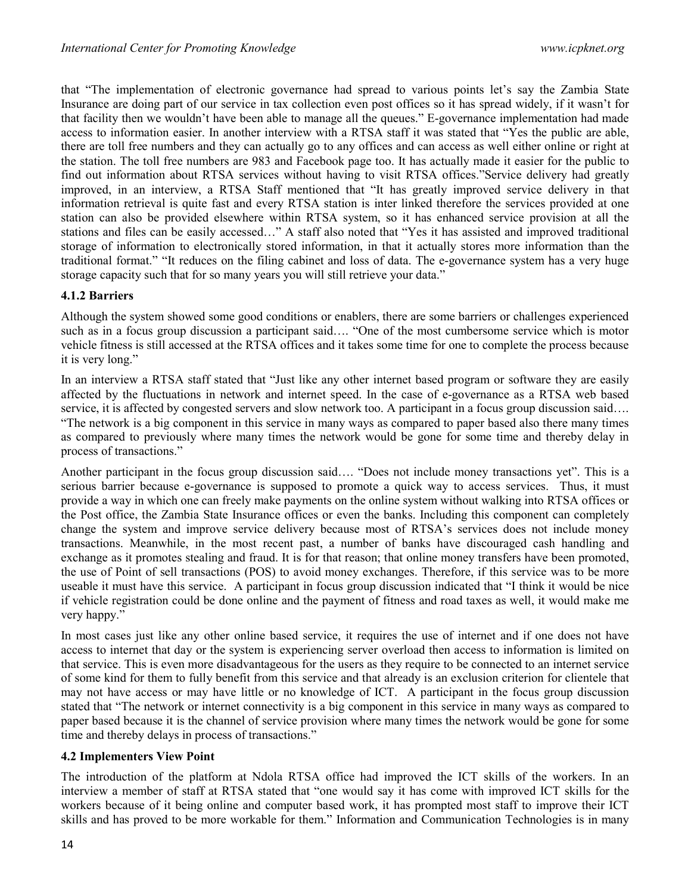that "The implementation of electronic governance had spread to various points let's say the Zambia State Insurance are doing part of our service in tax collection even post offices so it has spread widely, if it wasn't for that facility then we wouldn't have been able to manage all the queues." E-governance implementation had made access to information easier. In another interview with a RTSA staff it was stated that "Yes the public are able, there are toll free numbers and they can actually go to any offices and can access as well either online or right at the station. The toll free numbers are 983 and Facebook page too. It has actually made it easier for the public to find out information about RTSA services without having to visit RTSA offices."Service delivery had greatly improved, in an interview, a RTSA Staff mentioned that "It has greatly improved service delivery in that information retrieval is quite fast and every RTSA station is inter linked therefore the services provided at one station can also be provided elsewhere within RTSA system, so it has enhanced service provision at all the stations and files can be easily accessed…" A staff also noted that "Yes it has assisted and improved traditional storage of information to electronically stored information, in that it actually stores more information than the traditional format." "It reduces on the filing cabinet and loss of data. The e-governance system has a very huge storage capacity such that for so many years you will still retrieve your data."

### 4.1.2 Barriers

Although the system showed some good conditions or enablers, there are some barriers or challenges experienced such as in a focus group discussion a participant said…. "One of the most cumbersome service which is motor vehicle fitness is still accessed at the RTSA offices and it takes some time for one to complete the process because it is very long."

In an interview a RTSA staff stated that "Just like any other internet based program or software they are easily affected by the fluctuations in network and internet speed. In the case of e-governance as a RTSA web based service, it is affected by congested servers and slow network too. A participant in a focus group discussion said…. "The network is a big component in this service in many ways as compared to paper based also there many times as compared to previously where many times the network would be gone for some time and thereby delay in process of transactions."

Another participant in the focus group discussion said…. "Does not include money transactions yet". This is a serious barrier because e-governance is supposed to promote a quick way to access services. Thus, it must provide a way in which one can freely make payments on the online system without walking into RTSA offices or the Post office, the Zambia State Insurance offices or even the banks. Including this component can completely change the system and improve service delivery because most of RTSA's services does not include money transactions. Meanwhile, in the most recent past, a number of banks have discouraged cash handling and exchange as it promotes stealing and fraud. It is for that reason; that online money transfers have been promoted, the use of Point of sell transactions (POS) to avoid money exchanges. Therefore, if this service was to be more useable it must have this service. A participant in focus group discussion indicated that "I think it would be nice if vehicle registration could be done online and the payment of fitness and road taxes as well, it would make me very happy."

In most cases just like any other online based service, it requires the use of internet and if one does not have access to internet that day or the system is experiencing server overload then access to information is limited on that service. This is even more disadvantageous for the users as they require to be connected to an internet service of some kind for them to fully benefit from this service and that already is an exclusion criterion for clientele that may not have access or may have little or no knowledge of ICT. A participant in the focus group discussion stated that "The network or internet connectivity is a big component in this service in many ways as compared to paper based because it is the channel of service provision where many times the network would be gone for some time and thereby delays in process of transactions."

### 4.2 Implementers View Point

The introduction of the platform at Ndola RTSA office had improved the ICT skills of the workers. In an interview a member of staff at RTSA stated that "one would say it has come with improved ICT skills for the workers because of it being online and computer based work, it has prompted most staff to improve their ICT skills and has proved to be more workable for them." Information and Communication Technologies is in many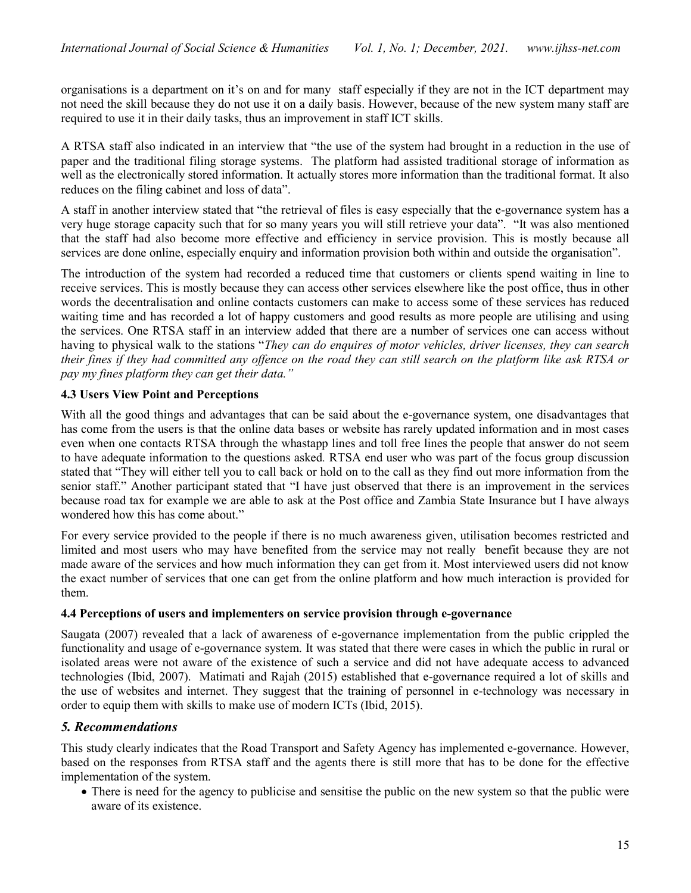organisations is a department on it's on and for many staff especially if they are not in the ICT department may not need the skill because they do not use it on a daily basis. However, because of the new system many staff are required to use it in their daily tasks, thus an improvement in staff ICT skills.

A RTSA staff also indicated in an interview that "the use of the system had brought in a reduction in the use of paper and the traditional filing storage systems. The platform had assisted traditional storage of information as well as the electronically stored information. It actually stores more information than the traditional format. It also reduces on the filing cabinet and loss of data".

A staff in another interview stated that "the retrieval of files is easy especially that the e-governance system has a very huge storage capacity such that for so many years you will still retrieve your data". "It was also mentioned that the staff had also become more effective and efficiency in service provision. This is mostly because all services are done online, especially enquiry and information provision both within and outside the organisation".

The introduction of the system had recorded a reduced time that customers or clients spend waiting in line to receive services. This is mostly because they can access other services elsewhere like the post office, thus in other words the decentralisation and online contacts customers can make to access some of these services has reduced waiting time and has recorded a lot of happy customers and good results as more people are utilising and using the services. One RTSA staff in an interview added that there are a number of services one can access without having to physical walk to the stations "They can do enquires of motor vehicles, driver licenses, they can search their fines if they had committed any offence on the road they can still search on the platform like ask RTSA or pay my fines platform they can get their data."

# 4.3 Users View Point and Perceptions

With all the good things and advantages that can be said about the e-governance system, one disadvantages that has come from the users is that the online data bases or website has rarely updated information and in most cases even when one contacts RTSA through the whastapp lines and toll free lines the people that answer do not seem to have adequate information to the questions asked. RTSA end user who was part of the focus group discussion stated that "They will either tell you to call back or hold on to the call as they find out more information from the senior staff." Another participant stated that "I have just observed that there is an improvement in the services because road tax for example we are able to ask at the Post office and Zambia State Insurance but I have always wondered how this has come about."

For every service provided to the people if there is no much awareness given, utilisation becomes restricted and limited and most users who may have benefited from the service may not really benefit because they are not made aware of the services and how much information they can get from it. Most interviewed users did not know the exact number of services that one can get from the online platform and how much interaction is provided for them.

### 4.4 Perceptions of users and implementers on service provision through e-governance

Saugata (2007) revealed that a lack of awareness of e-governance implementation from the public crippled the functionality and usage of e-governance system. It was stated that there were cases in which the public in rural or isolated areas were not aware of the existence of such a service and did not have adequate access to advanced technologies (Ibid, 2007). Matimati and Rajah (2015) established that e-governance required a lot of skills and the use of websites and internet. They suggest that the training of personnel in e-technology was necessary in order to equip them with skills to make use of modern ICTs (Ibid, 2015).

# 5. Recommendations

This study clearly indicates that the Road Transport and Safety Agency has implemented e-governance. However, based on the responses from RTSA staff and the agents there is still more that has to be done for the effective implementation of the system.

• There is need for the agency to publicise and sensitise the public on the new system so that the public were aware of its existence.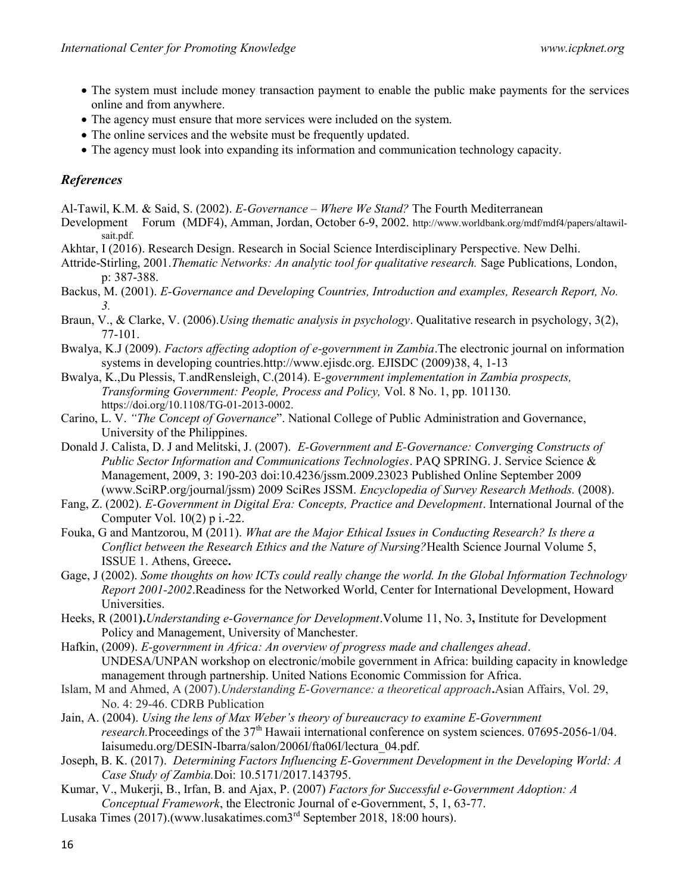- The system must include money transaction payment to enable the public make payments for the services online and from anywhere.
- The agency must ensure that more services were included on the system.
- The online services and the website must be frequently updated.
- The agency must look into expanding its information and communication technology capacity.

# References

Al-Tawil, K.M. & Said, S. (2002). E-Governance – Where We Stand? The Fourth Mediterranean

- Development Forum (MDF4), Amman, Jordan, October 6-9, 2002. http://www.worldbank.org/mdf/mdf4/papers/altawilsait.pdf.
- Akhtar, I (2016). Research Design. Research in Social Science Interdisciplinary Perspective. New Delhi.
- Attride-Stirling, 2001.Thematic Networks: An analytic tool for qualitative research. Sage Publications, London, p: 387-388.
- Backus, M. (2001). E-Governance and Developing Countries, Introduction and examples, Research Report, No. 3.
- Braun, V., & Clarke, V. (2006).Using thematic analysis in psychology. Qualitative research in psychology, 3(2), 77-101.
- Bwalya, K.J (2009). Factors affecting adoption of e-government in Zambia.The electronic journal on information systems in developing countries.http://www.ejisdc.org. EJISDC (2009)38, 4, 1-13
- Bwalya, K.,Du Plessis, T.andRensleigh, C.(2014). E-government implementation in Zambia prospects, Transforming Government: People, Process and Policy, Vol. 8 No. 1, pp. 101130. https://doi.org/10.1108/TG-01-2013-0002.
- Carino, L. V. "The Concept of Governance". National College of Public Administration and Governance, University of the Philippines.
- Donald J. Calista, D. J and Melitski, J. (2007). E-Government and E-Governance: Converging Constructs of Public Sector Information and Communications Technologies. PAQ SPRING. J. Service Science & Management, 2009, 3: 190-203 doi:10.4236/jssm.2009.23023 Published Online September 2009 (www.SciRP.org/journal/jssm) 2009 SciRes JSSM. Encyclopedia of Survey Research Methods. (2008).
- Fang, Z. (2002). E-Government in Digital Era: Concepts, Practice and Development. International Journal of the Computer Vol. 10(2) p i.-22.
- Fouka, G and Mantzorou, M (2011). What are the Major Ethical Issues in Conducting Research? Is there a Conflict between the Research Ethics and the Nature of Nursing?Health Science Journal Volume 5, ISSUE 1. Athens, Greece.
- Gage, J (2002). Some thoughts on how ICTs could really change the world. In the Global Information Technology Report 2001-2002.Readiness for the Networked World, Center for International Development, Howard Universities.
- Heeks, R (2001). Understanding e-Governance for Development. Volume 11, No. 3, Institute for Development Policy and Management, University of Manchester.
- Hafkin, (2009). E-government in Africa: An overview of progress made and challenges ahead. UNDESA/UNPAN workshop on electronic/mobile government in Africa: building capacity in knowledge management through partnership. United Nations Economic Commission for Africa.
- Islam, M and Ahmed, A (2007).Understanding E-Governance: a theoretical approach.Asian Affairs, Vol. 29, No. 4: 29-46. CDRB Publication
- Jain, A. (2004). Using the lens of Max Weber's theory of bureaucracy to examine E-Government research.Proceedings of the 37<sup>th</sup> Hawaii international conference on system sciences. 07695-2056-1/04. Iaisumedu.org/DESIN-Ibarra/salon/2006I/fta06I/lectura\_04.pdf.
- Joseph, B. K. (2017). Determining Factors Influencing E-Government Development in the Developing World: A Case Study of Zambia.Doi: 10.5171/2017.143795.
- Kumar, V., Mukerji, B., Irfan, B. and Ajax, P. (2007) Factors for Successful e-Government Adoption: A Conceptual Framework, the Electronic Journal of e-Government, 5, 1, 63-77.
- Lusaka Times (2017).(www.lusakatimes.com3<sup>rd</sup> September 2018, 18:00 hours).